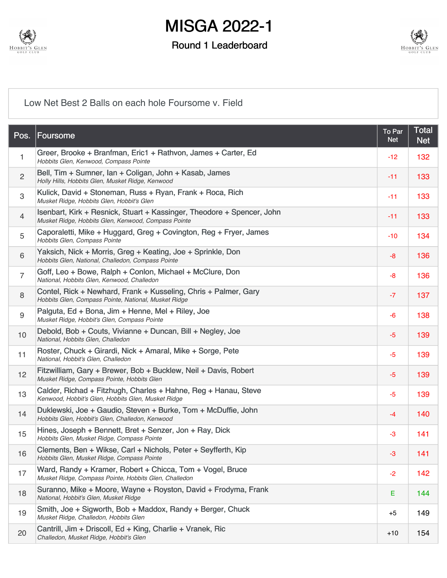

### Round 1 Leaderboard



[Low Net Best 2 Balls on each hole Foursome v. Field](https://static.golfgenius.com/v2tournaments/8428183447431825153?called_from=&round_index=1)

| Pos.           | Foursome                                                                                                                      | To Par<br><b>Net</b> | <b>Total</b><br><b>Net</b> |
|----------------|-------------------------------------------------------------------------------------------------------------------------------|----------------------|----------------------------|
| 1              | Greer, Brooke + Branfman, Eric1 + Rathvon, James + Carter, Ed<br>Hobbits Glen, Kenwood, Compass Pointe                        | $-12$                | 132                        |
| $\overline{2}$ | Bell, Tim + Sumner, Ian + Coligan, John + Kasab, James<br>Holly Hills, Hobbits Glen, Musket Ridge, Kenwood                    | $-11$                | 133                        |
| 3              | Kulick, David + Stoneman, Russ + Ryan, Frank + Roca, Rich<br>Musket Ridge, Hobbits Glen, Hobbit's Glen                        | $-11$                | 133                        |
| $\overline{4}$ | Isenbart, Kirk + Resnick, Stuart + Kassinger, Theodore + Spencer, John<br>Musket Ridge, Hobbits Glen, Kenwood, Compass Pointe | $-11$                | 133                        |
| 5              | Caporaletti, Mike + Huggard, Greg + Covington, Reg + Fryer, James<br>Hobbits Glen, Compass Pointe                             | $-10$                | 134                        |
| 6              | Yaksich, Nick + Morris, Greg + Keating, Joe + Sprinkle, Don<br>Hobbits Glen, National, Challedon, Compass Pointe              | $-8$                 | 136                        |
| $\overline{7}$ | Goff, Leo + Bowe, Ralph + Conlon, Michael + McClure, Don<br>National, Hobbits Glen, Kenwood, Challedon                        | $-8$                 | 136                        |
| $\,8\,$        | Contel, Rick + Newhard, Frank + Kusseling, Chris + Palmer, Gary<br>Hobbits Glen, Compass Pointe, National, Musket Ridge       | $-7$                 | 137                        |
| 9              | Palguta, Ed + Bona, Jim + Henne, Mel + Riley, Joe<br>Musket Ridge, Hobbit's Glen, Compass Pointe                              | $-6$                 | 138                        |
| 10             | Debold, Bob + Couts, Vivianne + Duncan, Bill + Negley, Joe<br>National, Hobbits Glen, Challedon                               | $-5$                 | 139                        |
| 11             | Roster, Chuck + Girardi, Nick + Amaral, Mike + Sorge, Pete<br>National, Hobbit's Glen, Challedon                              | $-5$                 | 139                        |
| 12             | Fitzwilliam, Gary + Brewer, Bob + Bucklew, Neil + Davis, Robert<br>Musket Ridge, Compass Pointe, Hobbits Glen                 | $-5$                 | 139                        |
| 13             | Calder, Richad + Fitzhugh, Charles + Hahne, Reg + Hanau, Steve<br>Kenwood, Hobbit's Glen, Hobbits Glen, Musket Ridge          | $-5$                 | 139                        |
| 14             | Duklewski, Joe + Gaudio, Steven + Burke, Tom + McDuffie, John<br>Hobbits Glen, Hobbit's Glen, Challedon, Kenwood              | $-4$                 | 140                        |
| 15             | Hines, Joseph + Bennett, Bret + Senzer, Jon + Ray, Dick<br>Hobbits Glen, Musket Ridge, Compass Pointe                         | $-3$                 | 141                        |
| 16             | Clements, Ben + Wikse, Carl + Nichols, Peter + Seyfferth, Kip<br>Hobbits Glen, Musket Ridge, Compass Pointe                   | $-3$                 | 141                        |
| 17             | Ward, Randy + Kramer, Robert + Chicca, Tom + Vogel, Bruce<br>Musket Ridge, Compass Pointe, Hobbits Glen, Challedon            | $-2$                 | 142                        |
| 18             | Suranno, Mike + Moore, Wayne + Royston, David + Frodyma, Frank<br>National, Hobbit's Glen, Musket Ridge                       | E.                   | 144                        |
| 19             | Smith, Joe + Sigworth, Bob + Maddox, Randy + Berger, Chuck<br>Musket Ridge, Challedon, Hobbits Glen                           | $+5$                 | 149                        |
| 20             | Cantrill, Jim + Driscoll, Ed + King, Charlie + Vranek, Ric<br>Challedon, Musket Ridge, Hobbit's Glen                          | $+10$                | 154                        |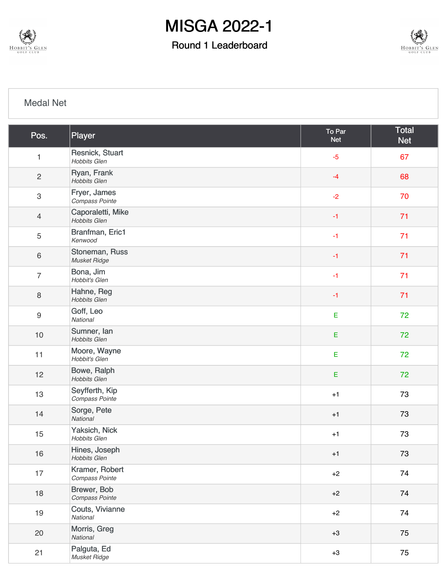



### Round 1 Leaderboard



#### [Medal Net](https://static.golfgenius.com/v2tournaments/8503050178083702544?called_from=&round_index=1)

| Pos.                      | Player                                   | To Par<br><b>Net</b> | <b>Total</b><br><b>Net</b> |
|---------------------------|------------------------------------------|----------------------|----------------------------|
| $\mathbf{1}$              | Resnick, Stuart<br><b>Hobbits Glen</b>   | $-5$                 | 67                         |
| $\overline{c}$            | Ryan, Frank<br><b>Hobbits Glen</b>       | $-4$                 | 68                         |
| $\ensuremath{\mathsf{3}}$ | Fryer, James<br>Compass Pointe           | $-2$                 | 70                         |
| $\overline{4}$            | Caporaletti, Mike<br><b>Hobbits Glen</b> | $-1$                 | 71                         |
| 5                         | Branfman, Eric1<br>Kenwood               | $-1$                 | 71                         |
| $\,6\,$                   | Stoneman, Russ<br><b>Musket Ridge</b>    | $-1$                 | 71                         |
| $\overline{7}$            | Bona, Jim<br>Hobbit's Glen               | $-1$                 | 71                         |
| $\,8\,$                   | Hahne, Reg<br><b>Hobbits Glen</b>        | $-1$                 | 71                         |
| $\boldsymbol{9}$          | Goff, Leo<br>National                    | $\mathsf E$          | 72                         |
| 10                        | Sumner, lan<br><b>Hobbits Glen</b>       | E                    | 72                         |
| 11                        | Moore, Wayne<br>Hobbit's Glen            | Ε                    | 72                         |
| 12                        | Bowe, Ralph<br><b>Hobbits Glen</b>       | $\mathsf E$          | 72                         |
| 13                        | Seyfferth, Kip<br>Compass Pointe         | $+1$                 | 73                         |
| 14                        | Sorge, Pete<br>National                  | $+1$                 | 73                         |
| 15                        | Yaksich, Nick<br><b>Hobbits Glen</b>     | $+1$                 | 73                         |
| 16                        | Hines, Joseph<br><b>Hobbits Glen</b>     | $+1$                 | 73                         |
| 17                        | Kramer, Robert<br>Compass Pointe         | $+2$                 | 74                         |
| 18                        | Brewer, Bob<br>Compass Pointe            | $+2$                 | 74                         |
| 19                        | Couts, Vivianne<br>National              | $+2$                 | 74                         |
| 20                        | Morris, Greg<br>National                 | $+3$                 | 75                         |
| 21                        | Palguta, Ed<br>Musket Ridge              | $+3$                 | 75                         |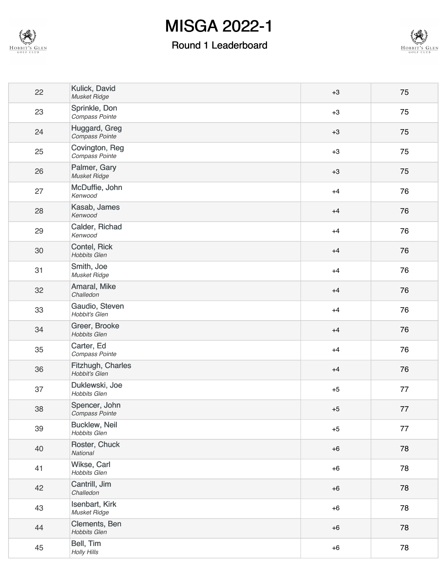



| 22 | Kulick, David<br><b>Musket Ridge</b>        | $+3$ | 75 |
|----|---------------------------------------------|------|----|
| 23 | Sprinkle, Don<br>Compass Pointe             | $+3$ | 75 |
| 24 | Huggard, Greg<br>Compass Pointe             | $+3$ | 75 |
| 25 | Covington, Reg<br>Compass Pointe            | $+3$ | 75 |
| 26 | Palmer, Gary<br><b>Musket Ridge</b>         | $+3$ | 75 |
| 27 | McDuffie, John<br>Kenwood                   | $+4$ | 76 |
| 28 | Kasab, James<br>Kenwood                     | $+4$ | 76 |
| 29 | Calder, Richad<br>Kenwood                   | $+4$ | 76 |
| 30 | Contel, Rick<br><b>Hobbits Glen</b>         | $+4$ | 76 |
| 31 | Smith, Joe<br><b>Musket Ridge</b>           | $+4$ | 76 |
| 32 | Amaral, Mike<br>Challedon                   | $+4$ | 76 |
| 33 | Gaudio, Steven<br>Hobbit's Glen             | $+4$ | 76 |
| 34 | Greer, Brooke<br><b>Hobbits Glen</b>        | $+4$ | 76 |
| 35 | Carter, Ed<br>Compass Pointe                | $+4$ | 76 |
| 36 | Fitzhugh, Charles<br>Hobbit's Glen          | $+4$ | 76 |
| 37 | Duklewski, Joe<br><b>Hobbits Glen</b>       | $+5$ | 77 |
| 38 | Spencer, John<br>Compass Pointe             | $+5$ | 77 |
| 39 | <b>Bucklew, Neil</b><br><b>Hobbits Glen</b> | $+5$ | 77 |
| 40 | Roster, Chuck<br>National                   | $+6$ | 78 |
| 41 | Wikse, Carl<br><b>Hobbits Glen</b>          | $+6$ | 78 |
| 42 | Cantrill, Jim<br>Challedon                  | $+6$ | 78 |
| 43 | Isenbart, Kirk<br><b>Musket Ridge</b>       | $+6$ | 78 |
| 44 | Clements, Ben<br><b>Hobbits Glen</b>        | $+6$ | 78 |
| 45 | Bell, Tim<br><b>Holly Hills</b>             | $+6$ | 78 |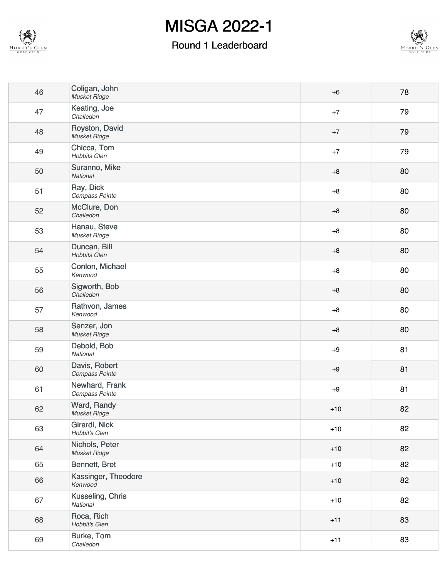



| 46 | Coligan, John<br>Musket Ridge         | $+6$     | 78 |
|----|---------------------------------------|----------|----|
| 47 | Keating, Joe<br>Challedon             | $+7$     | 79 |
| 48 | Royston, David<br><b>Musket Ridge</b> | $+7$     | 79 |
| 49 | Chicca, Tom<br><b>Hobbits Glen</b>    | $+7$     | 79 |
| 50 | Suranno, Mike<br>National             | $+8$     | 80 |
| 51 | Ray, Dick<br>Compass Pointe           | $+8$     | 80 |
| 52 | McClure, Don<br>Challedon             | $+8$     | 80 |
| 53 | Hanau, Steve<br><b>Musket Ridge</b>   | $+8$     | 80 |
| 54 | Duncan, Bill<br><b>Hobbits Glen</b>   | $+8$     | 80 |
| 55 | Conlon, Michael<br>Kenwood            | $+8$     | 80 |
| 56 | Sigworth, Bob<br>Challedon            | $+8$     | 80 |
| 57 | Rathvon, James<br>Kenwood             | $+8$     | 80 |
| 58 | Senzer, Jon<br><b>Musket Ridge</b>    | $+8$     | 80 |
| 59 | Debold, Bob<br>National               | $\bf +9$ | 81 |
| 60 | Davis, Robert<br>Compass Pointe       | $+9$     | 81 |
| 61 | Newhard, Frank<br>Compass Pointe      | $+9$     | 81 |
| 62 | Ward, Randy<br><b>Musket Ridge</b>    | $+10$    | 82 |
| 63 | Girardi, Nick<br>Hobbit's Glen        | $+10$    | 82 |
| 64 | Nichols, Peter<br><b>Musket Ridge</b> | $+10$    | 82 |
| 65 | Bennett, Bret                         | $+10$    | 82 |
| 66 | Kassinger, Theodore<br>Kenwood        | $+10$    | 82 |
| 67 | Kusseling, Chris<br>National          | $+10$    | 82 |
| 68 | Roca, Rich<br>Hobbit's Glen           | $+11$    | 83 |
| 69 | Burke, Tom<br>Challedon               | $+11$    | 83 |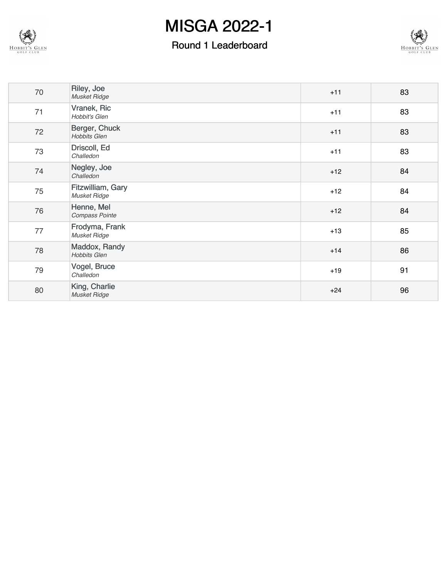



| 70 | Riley, Joe<br><b>Musket Ridge</b>        | $+11$ | 83 |
|----|------------------------------------------|-------|----|
| 71 | Vranek, Ric<br>Hobbit's Glen             | $+11$ | 83 |
| 72 | Berger, Chuck<br><b>Hobbits Glen</b>     | $+11$ | 83 |
| 73 | Driscoll, Ed<br>Challedon                | $+11$ | 83 |
| 74 | Negley, Joe<br>Challedon                 | $+12$ | 84 |
| 75 | Fitzwilliam, Gary<br><b>Musket Ridge</b> | $+12$ | 84 |
| 76 | Henne, Mel<br>Compass Pointe             | $+12$ | 84 |
| 77 | Frodyma, Frank<br><b>Musket Ridge</b>    | $+13$ | 85 |
| 78 | Maddox, Randy<br><b>Hobbits Glen</b>     | $+14$ | 86 |
| 79 | Vogel, Bruce<br>Challedon                | $+19$ | 91 |
| 80 | King, Charlie<br><b>Musket Ridge</b>     | $+24$ | 96 |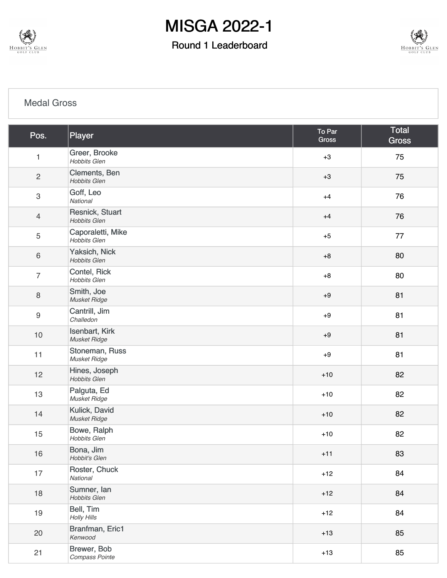

### Round 1 Leaderboard



#### [Medal Gross](https://static.golfgenius.com/v2tournaments/8503051757490816785?called_from=&round_index=1)

| Pos.                      | Player                                   | To Par<br><b>Gross</b> | Total<br><b>Gross</b> |
|---------------------------|------------------------------------------|------------------------|-----------------------|
| $\mathbf{1}$              | Greer, Brooke<br><b>Hobbits Glen</b>     | $+3$                   | 75                    |
| $\overline{c}$            | Clements, Ben<br><b>Hobbits Glen</b>     | $+3$                   | 75                    |
| $\ensuremath{\mathsf{3}}$ | Goff, Leo<br>National                    | $+4$                   | 76                    |
| $\overline{4}$            | Resnick, Stuart<br><b>Hobbits Glen</b>   | $+4$                   | 76                    |
| $\mathbf 5$               | Caporaletti, Mike<br><b>Hobbits Glen</b> | $+5$                   | 77                    |
| $\,6\,$                   | Yaksich, Nick<br><b>Hobbits Glen</b>     | $+8$                   | 80                    |
| $\overline{7}$            | Contel, Rick<br><b>Hobbits Glen</b>      | $\bf{+8}$              | 80                    |
| $\,8\,$                   | Smith, Joe<br>Musket Ridge               | $\bf +9$               | 81                    |
| $\boldsymbol{9}$          | Cantrill, Jim<br>Challedon               | $+9$                   | 81                    |
| 10                        | Isenbart, Kirk<br><b>Musket Ridge</b>    | $\bf +9$               | 81                    |
| 11                        | Stoneman, Russ<br><b>Musket Ridge</b>    | $\bf +9$               | 81                    |
| 12                        | Hines, Joseph<br><b>Hobbits Glen</b>     | $+10$                  | 82                    |
| 13                        | Palguta, Ed<br><b>Musket Ridge</b>       | $+10$                  | 82                    |
| 14                        | Kulick, David<br>Musket Ridge            | $+10$                  | 82                    |
| 15                        | Bowe, Ralph<br><b>Hobbits Glen</b>       | $+10$                  | 82                    |
| 16                        | Bona, Jim<br>Hobbit's Glen               | $+11$                  | 83                    |
| 17                        | Roster, Chuck<br>National                | $+12$                  | 84                    |
| 18                        | Sumner, lan<br><b>Hobbits Glen</b>       | $+12$                  | 84                    |
| 19                        | Bell, Tim<br><b>Holly Hills</b>          | $+12$                  | 84                    |
| 20                        | Branfman, Eric1<br>Kenwood               | $+13$                  | 85                    |
| 21                        | Brewer, Bob<br>Compass Pointe            | $+13$                  | 85                    |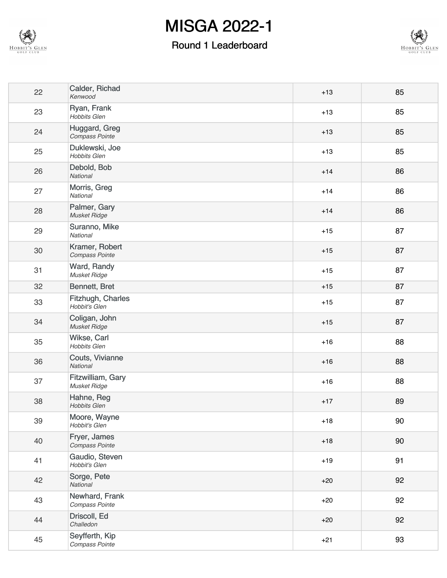



| 22 | Calder, Richad<br>Kenwood                | $+13$ | 85 |
|----|------------------------------------------|-------|----|
| 23 | Ryan, Frank<br><b>Hobbits Glen</b>       | $+13$ | 85 |
| 24 | Huggard, Greg<br>Compass Pointe          | $+13$ | 85 |
| 25 | Duklewski, Joe<br><b>Hobbits Glen</b>    | $+13$ | 85 |
| 26 | Debold, Bob<br>National                  | $+14$ | 86 |
| 27 | Morris, Greg<br>National                 | $+14$ | 86 |
| 28 | Palmer, Gary<br><b>Musket Ridge</b>      | $+14$ | 86 |
| 29 | Suranno, Mike<br>National                | $+15$ | 87 |
| 30 | Kramer, Robert<br>Compass Pointe         | $+15$ | 87 |
| 31 | Ward, Randy<br><b>Musket Ridge</b>       | $+15$ | 87 |
| 32 | Bennett, Bret                            | $+15$ | 87 |
| 33 | Fitzhugh, Charles<br>Hobbit's Glen       | $+15$ | 87 |
| 34 | Coligan, John<br><b>Musket Ridge</b>     | $+15$ | 87 |
| 35 | Wikse, Carl<br><b>Hobbits Glen</b>       | $+16$ | 88 |
| 36 | Couts, Vivianne<br>National              | $+16$ | 88 |
| 37 | Fitzwilliam, Gary<br><b>Musket Ridge</b> | $+16$ | 88 |
| 38 | Hahne, Reg<br><b>Hobbits Glen</b>        | $+17$ | 89 |
| 39 | Moore, Wayne<br>Hobbit's Glen            | $+18$ | 90 |
| 40 | Fryer, James<br>Compass Pointe           | $+18$ | 90 |
| 41 | Gaudio, Steven<br>Hobbit's Glen          | $+19$ | 91 |
| 42 | Sorge, Pete<br>National                  | $+20$ | 92 |
| 43 | Newhard, Frank<br>Compass Pointe         | $+20$ | 92 |
| 44 | Driscoll, Ed<br>Challedon                | $+20$ | 92 |
| 45 | Seyfferth, Kip<br>Compass Pointe         | $+21$ | 93 |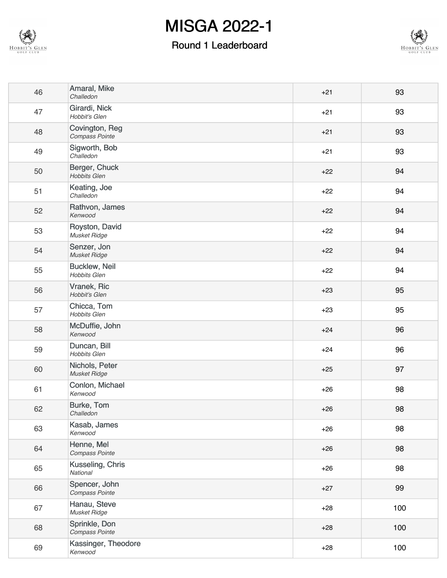



| 46 | Amaral, Mike<br>Challedon                   | $+21$ | 93  |
|----|---------------------------------------------|-------|-----|
| 47 | Girardi, Nick<br>Hobbit's Glen              | $+21$ | 93  |
| 48 | Covington, Reg<br>Compass Pointe            | $+21$ | 93  |
| 49 | Sigworth, Bob<br>Challedon                  | $+21$ | 93  |
| 50 | Berger, Chuck<br><b>Hobbits Glen</b>        | $+22$ | 94  |
| 51 | Keating, Joe<br>Challedon                   | $+22$ | 94  |
| 52 | Rathvon, James<br>Kenwood                   | $+22$ | 94  |
| 53 | Royston, David<br><b>Musket Ridge</b>       | $+22$ | 94  |
| 54 | Senzer, Jon<br><b>Musket Ridge</b>          | $+22$ | 94  |
| 55 | <b>Bucklew, Neil</b><br><b>Hobbits Glen</b> | $+22$ | 94  |
| 56 | Vranek, Ric<br><b>Hobbit's Glen</b>         | $+23$ | 95  |
| 57 | Chicca, Tom<br><b>Hobbits Glen</b>          | $+23$ | 95  |
| 58 | McDuffie, John<br>Kenwood                   | $+24$ | 96  |
| 59 | Duncan, Bill<br><b>Hobbits Glen</b>         | $+24$ | 96  |
| 60 | Nichols, Peter<br>Musket Ridge              | $+25$ | 97  |
| 61 | Conlon, Michael<br>Kenwood                  | $+26$ | 98  |
| 62 | Burke, Tom<br>Challedon                     | $+26$ | 98  |
| 63 | Kasab, James<br>Kenwood                     | $+26$ | 98  |
| 64 | Henne, Mel<br>Compass Pointe                | $+26$ | 98  |
| 65 | Kusseling, Chris<br>National                | $+26$ | 98  |
| 66 | Spencer, John<br>Compass Pointe             | $+27$ | 99  |
| 67 | Hanau, Steve<br><b>Musket Ridge</b>         | $+28$ | 100 |
| 68 | Sprinkle, Don<br>Compass Pointe             | $+28$ | 100 |
| 69 | Kassinger, Theodore<br>Kenwood              | $+28$ | 100 |